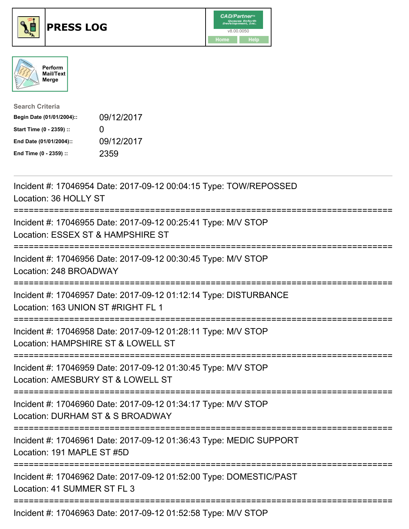





| <b>Search Criteria</b>    |              |
|---------------------------|--------------|
| Begin Date (01/01/2004):: | 09/12/2017   |
| Start Time (0 - 2359) ::  | $\mathbf{I}$ |
| End Date (01/01/2004)::   | 09/12/2017   |
| End Time (0 - 2359) ::    | 2359         |

| Incident #: 17046954 Date: 2017-09-12 00:04:15 Type: TOW/REPOSSED<br>Location: 36 HOLLY ST             |
|--------------------------------------------------------------------------------------------------------|
| Incident #: 17046955 Date: 2017-09-12 00:25:41 Type: M/V STOP<br>Location: ESSEX ST & HAMPSHIRE ST     |
| Incident #: 17046956 Date: 2017-09-12 00:30:45 Type: M/V STOP<br>Location: 248 BROADWAY                |
| Incident #: 17046957 Date: 2017-09-12 01:12:14 Type: DISTURBANCE<br>Location: 163 UNION ST #RIGHT FL 1 |
| Incident #: 17046958 Date: 2017-09-12 01:28:11 Type: M/V STOP<br>Location: HAMPSHIRE ST & LOWELL ST    |
| Incident #: 17046959 Date: 2017-09-12 01:30:45 Type: M/V STOP<br>Location: AMESBURY ST & LOWELL ST     |
| Incident #: 17046960 Date: 2017-09-12 01:34:17 Type: M/V STOP<br>Location: DURHAM ST & S BROADWAY      |
| Incident #: 17046961 Date: 2017-09-12 01:36:43 Type: MEDIC SUPPORT<br>Location: 191 MAPLE ST #5D       |
| Incident #: 17046962 Date: 2017-09-12 01:52:00 Type: DOMESTIC/PAST<br>Location: 41 SUMMER ST FL 3      |
| Incident #: 17046963 Date: 2017-09-12 01:52:58 Type: M/V STOP                                          |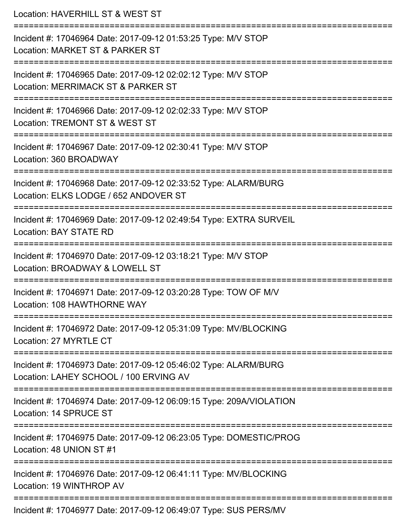| Location: HAVERHILL ST & WEST ST                                                                                 |
|------------------------------------------------------------------------------------------------------------------|
| Incident #: 17046964 Date: 2017-09-12 01:53:25 Type: M/V STOP<br>Location: MARKET ST & PARKER ST                 |
| Incident #: 17046965 Date: 2017-09-12 02:02:12 Type: M/V STOP<br>Location: MERRIMACK ST & PARKER ST              |
| Incident #: 17046966 Date: 2017-09-12 02:02:33 Type: M/V STOP<br>Location: TREMONT ST & WEST ST                  |
| --------------------<br>Incident #: 17046967 Date: 2017-09-12 02:30:41 Type: M/V STOP<br>Location: 360 BROADWAY  |
| Incident #: 17046968 Date: 2017-09-12 02:33:52 Type: ALARM/BURG<br>Location: ELKS LODGE / 652 ANDOVER ST         |
| Incident #: 17046969 Date: 2017-09-12 02:49:54 Type: EXTRA SURVEIL<br><b>Location: BAY STATE RD</b>              |
| Incident #: 17046970 Date: 2017-09-12 03:18:21 Type: M/V STOP<br>Location: BROADWAY & LOWELL ST                  |
| --------------<br>Incident #: 17046971 Date: 2017-09-12 03:20:28 Type: TOW OF M/V<br>Location: 108 HAWTHORNE WAY |
| Incident #: 17046972 Date: 2017-09-12 05:31:09 Type: MV/BLOCKING<br>Location: 27 MYRTLE CT                       |
| Incident #: 17046973 Date: 2017-09-12 05:46:02 Type: ALARM/BURG<br>Location: LAHEY SCHOOL / 100 ERVING AV        |
| Incident #: 17046974 Date: 2017-09-12 06:09:15 Type: 209A/VIOLATION<br>Location: 14 SPRUCE ST                    |
| Incident #: 17046975 Date: 2017-09-12 06:23:05 Type: DOMESTIC/PROG<br>Location: 48 UNION ST #1                   |
| Incident #: 17046976 Date: 2017-09-12 06:41:11 Type: MV/BLOCKING<br>Location: 19 WINTHROP AV                     |
| Incident #: 17046977 Date: 2017-09-12 06:49:07 Type: SUS PERS/MV                                                 |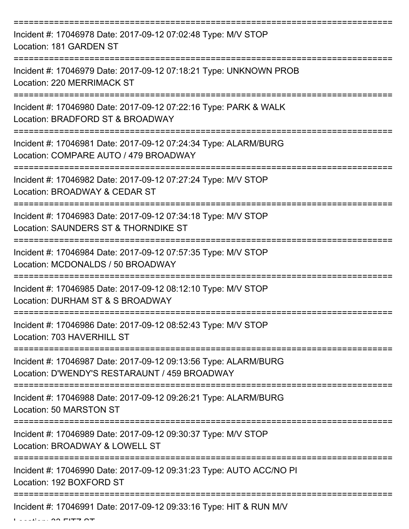| Incident #: 17046978 Date: 2017-09-12 07:02:48 Type: M/V STOP<br>Location: 181 GARDEN ST                         |
|------------------------------------------------------------------------------------------------------------------|
| Incident #: 17046979 Date: 2017-09-12 07:18:21 Type: UNKNOWN PROB<br>Location: 220 MERRIMACK ST                  |
| Incident #: 17046980 Date: 2017-09-12 07:22:16 Type: PARK & WALK<br>Location: BRADFORD ST & BROADWAY             |
| Incident #: 17046981 Date: 2017-09-12 07:24:34 Type: ALARM/BURG<br>Location: COMPARE AUTO / 479 BROADWAY         |
| Incident #: 17046982 Date: 2017-09-12 07:27:24 Type: M/V STOP<br>Location: BROADWAY & CEDAR ST                   |
| Incident #: 17046983 Date: 2017-09-12 07:34:18 Type: M/V STOP<br>Location: SAUNDERS ST & THORNDIKE ST            |
| Incident #: 17046984 Date: 2017-09-12 07:57:35 Type: M/V STOP<br>Location: MCDONALDS / 50 BROADWAY               |
| Incident #: 17046985 Date: 2017-09-12 08:12:10 Type: M/V STOP<br>Location: DURHAM ST & S BROADWAY                |
| Incident #: 17046986 Date: 2017-09-12 08:52:43 Type: M/V STOP<br>Location: 703 HAVERHILL ST                      |
| Incident #: 17046987 Date: 2017-09-12 09:13:56 Type: ALARM/BURG<br>Location: D'WENDY'S RESTARAUNT / 459 BROADWAY |
| Incident #: 17046988 Date: 2017-09-12 09:26:21 Type: ALARM/BURG<br>Location: 50 MARSTON ST                       |
| Incident #: 17046989 Date: 2017-09-12 09:30:37 Type: M/V STOP<br>Location: BROADWAY & LOWELL ST                  |
| Incident #: 17046990 Date: 2017-09-12 09:31:23 Type: AUTO ACC/NO PI<br>Location: 192 BOXFORD ST                  |
| Incident #: 17046991 Date: 2017-09-12 09:33:16 Type: HIT & RUN M/V                                               |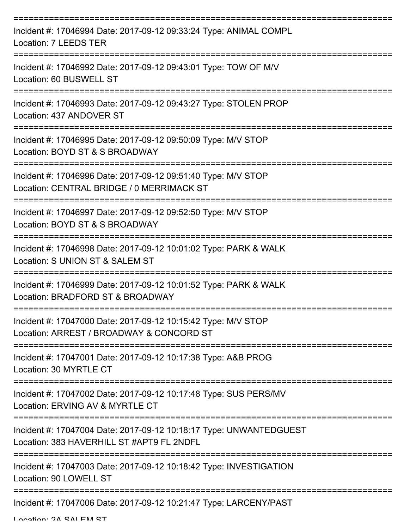| Incident #: 17046994 Date: 2017-09-12 09:33:24 Type: ANIMAL COMPL<br>Location: 7 LEEDS TER                      |
|-----------------------------------------------------------------------------------------------------------------|
| Incident #: 17046992 Date: 2017-09-12 09:43:01 Type: TOW OF M/V<br>Location: 60 BUSWELL ST                      |
| Incident #: 17046993 Date: 2017-09-12 09:43:27 Type: STOLEN PROP<br>Location: 437 ANDOVER ST                    |
| Incident #: 17046995 Date: 2017-09-12 09:50:09 Type: M/V STOP<br>Location: BOYD ST & S BROADWAY                 |
| Incident #: 17046996 Date: 2017-09-12 09:51:40 Type: M/V STOP<br>Location: CENTRAL BRIDGE / 0 MERRIMACK ST      |
| Incident #: 17046997 Date: 2017-09-12 09:52:50 Type: M/V STOP<br>Location: BOYD ST & S BROADWAY                 |
| Incident #: 17046998 Date: 2017-09-12 10:01:02 Type: PARK & WALK<br>Location: S UNION ST & SALEM ST             |
| Incident #: 17046999 Date: 2017-09-12 10:01:52 Type: PARK & WALK<br>Location: BRADFORD ST & BROADWAY            |
| Incident #: 17047000 Date: 2017-09-12 10:15:42 Type: M/V STOP<br>Location: ARREST / BROADWAY & CONCORD ST       |
| Incident #: 17047001 Date: 2017-09-12 10:17:38 Type: A&B PROG<br>Location: 30 MYRTLE CT                         |
| Incident #: 17047002 Date: 2017-09-12 10:17:48 Type: SUS PERS/MV<br>Location: ERVING AV & MYRTLE CT             |
| Incident #: 17047004 Date: 2017-09-12 10:18:17 Type: UNWANTEDGUEST<br>Location: 383 HAVERHILL ST #APT9 FL 2NDFL |
| Incident #: 17047003 Date: 2017-09-12 10:18:42 Type: INVESTIGATION<br>Location: 90 LOWELL ST                    |
| Incident #: 17047006 Date: 2017-09-12 10:21:47 Type: LARCENY/PAST                                               |

Location: 2A CALEM CT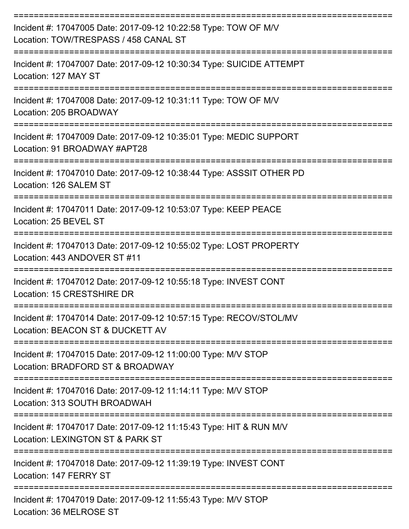| Incident #: 17047005 Date: 2017-09-12 10:22:58 Type: TOW OF M/V<br>Location: TOW/TRESPASS / 458 CANAL ST        |
|-----------------------------------------------------------------------------------------------------------------|
| Incident #: 17047007 Date: 2017-09-12 10:30:34 Type: SUICIDE ATTEMPT<br>Location: 127 MAY ST                    |
| Incident #: 17047008 Date: 2017-09-12 10:31:11 Type: TOW OF M/V<br>Location: 205 BROADWAY                       |
| Incident #: 17047009 Date: 2017-09-12 10:35:01 Type: MEDIC SUPPORT<br>Location: 91 BROADWAY #APT28              |
| Incident #: 17047010 Date: 2017-09-12 10:38:44 Type: ASSSIT OTHER PD<br>Location: 126 SALEM ST                  |
| Incident #: 17047011 Date: 2017-09-12 10:53:07 Type: KEEP PEACE<br>Location: 25 BEVEL ST                        |
| Incident #: 17047013 Date: 2017-09-12 10:55:02 Type: LOST PROPERTY<br>Location: 443 ANDOVER ST #11              |
| =============<br>Incident #: 17047012 Date: 2017-09-12 10:55:18 Type: INVEST CONT<br>Location: 15 CRESTSHIRE DR |
| Incident #: 17047014 Date: 2017-09-12 10:57:15 Type: RECOV/STOL/MV<br>Location: BEACON ST & DUCKETT AV          |
| Incident #: 17047015 Date: 2017-09-12 11:00:00 Type: M/V STOP<br>Location: BRADFORD ST & BROADWAY               |
| Incident #: 17047016 Date: 2017-09-12 11:14:11 Type: M/V STOP<br>Location: 313 SOUTH BROADWAH                   |
| Incident #: 17047017 Date: 2017-09-12 11:15:43 Type: HIT & RUN M/V<br>Location: LEXINGTON ST & PARK ST          |
| Incident #: 17047018 Date: 2017-09-12 11:39:19 Type: INVEST CONT<br>Location: 147 FERRY ST                      |
| Incident #: 17047019 Date: 2017-09-12 11:55:43 Type: M/V STOP<br>Location: 36 MELROSE ST                        |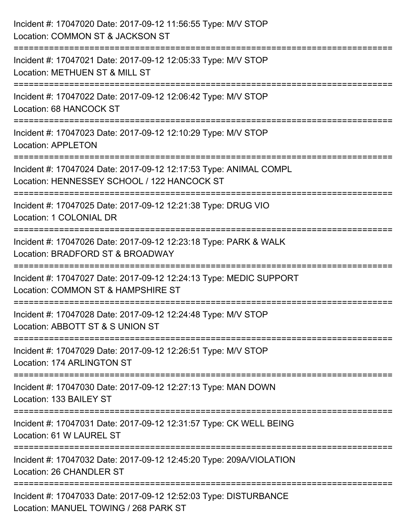| Incident #: 17047020 Date: 2017-09-12 11:56:55 Type: M/V STOP<br>Location: COMMON ST & JACKSON ST                                            |
|----------------------------------------------------------------------------------------------------------------------------------------------|
| ;============================<br>Incident #: 17047021 Date: 2017-09-12 12:05:33 Type: M/V STOP<br>Location: METHUEN ST & MILL ST             |
| Incident #: 17047022 Date: 2017-09-12 12:06:42 Type: M/V STOP<br><b>Location: 68 HANCOCK ST</b>                                              |
| Incident #: 17047023 Date: 2017-09-12 12:10:29 Type: M/V STOP<br><b>Location: APPLETON</b>                                                   |
| Incident #: 17047024 Date: 2017-09-12 12:17:53 Type: ANIMAL COMPL<br>Location: HENNESSEY SCHOOL / 122 HANCOCK ST                             |
| Incident #: 17047025 Date: 2017-09-12 12:21:38 Type: DRUG VIO<br>Location: 1 COLONIAL DR                                                     |
| :===================================<br>Incident #: 17047026 Date: 2017-09-12 12:23:18 Type: PARK & WALK<br>Location: BRADFORD ST & BROADWAY |
| Incident #: 17047027 Date: 2017-09-12 12:24:13 Type: MEDIC SUPPORT<br>Location: COMMON ST & HAMPSHIRE ST                                     |
| Incident #: 17047028 Date: 2017-09-12 12:24:48 Type: M/V STOP<br>Location: ABBOTT ST & S UNION ST                                            |
| Incident #: 17047029 Date: 2017-09-12 12:26:51 Type: M/V STOP<br>Location: 174 ARLINGTON ST                                                  |
| Incident #: 17047030 Date: 2017-09-12 12:27:13 Type: MAN DOWN<br>Location: 133 BAILEY ST                                                     |
| Incident #: 17047031 Date: 2017-09-12 12:31:57 Type: CK WELL BEING<br>Location: 61 W LAUREL ST                                               |
| Incident #: 17047032 Date: 2017-09-12 12:45:20 Type: 209A/VIOLATION<br>Location: 26 CHANDLER ST                                              |
| Incident #: 17047033 Date: 2017-09-12 12:52:03 Type: DISTURBANCE<br>Location: MANUEL TOWING / 268 PARK ST                                    |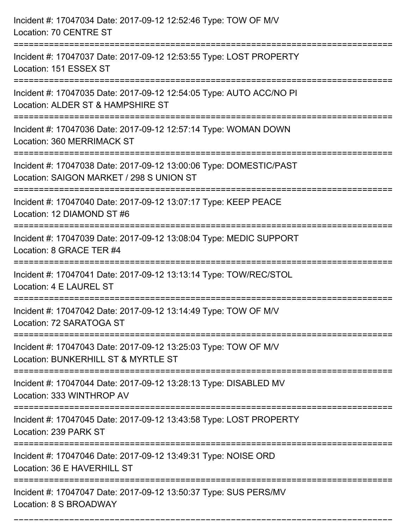| Incident #: 17047034 Date: 2017-09-12 12:52:46 Type: TOW OF M/V<br>Location: 70 CENTRE ST                                              |
|----------------------------------------------------------------------------------------------------------------------------------------|
| Incident #: 17047037 Date: 2017-09-12 12:53:55 Type: LOST PROPERTY<br>Location: 151 ESSEX ST<br>:===================================== |
| Incident #: 17047035 Date: 2017-09-12 12:54:05 Type: AUTO ACC/NO PI<br>Location: ALDER ST & HAMPSHIRE ST                               |
| Incident #: 17047036 Date: 2017-09-12 12:57:14 Type: WOMAN DOWN<br>Location: 360 MERRIMACK ST                                          |
| Incident #: 17047038 Date: 2017-09-12 13:00:06 Type: DOMESTIC/PAST<br>Location: SAIGON MARKET / 298 S UNION ST                         |
| Incident #: 17047040 Date: 2017-09-12 13:07:17 Type: KEEP PEACE<br>Location: 12 DIAMOND ST #6                                          |
| Incident #: 17047039 Date: 2017-09-12 13:08:04 Type: MEDIC SUPPORT<br>Location: 8 GRACE TER #4                                         |
| Incident #: 17047041 Date: 2017-09-12 13:13:14 Type: TOW/REC/STOL<br>Location: 4 E LAUREL ST                                           |
| Incident #: 17047042 Date: 2017-09-12 13:14:49 Type: TOW OF M/V<br>Location: 72 SARATOGA ST                                            |
| Incident #: 17047043 Date: 2017-09-12 13:25:03 Type: TOW OF M/V<br>Location: BUNKERHILL ST & MYRTLE ST                                 |
| Incident #: 17047044 Date: 2017-09-12 13:28:13 Type: DISABLED MV<br>Location: 333 WINTHROP AV                                          |
| Incident #: 17047045 Date: 2017-09-12 13:43:58 Type: LOST PROPERTY<br>Location: 239 PARK ST                                            |
| Incident #: 17047046 Date: 2017-09-12 13:49:31 Type: NOISE ORD<br>Location: 36 E HAVERHILL ST                                          |
| Incident #: 17047047 Date: 2017-09-12 13:50:37 Type: SUS PERS/MV<br>Location: 8 S BROADWAY                                             |

===========================================================================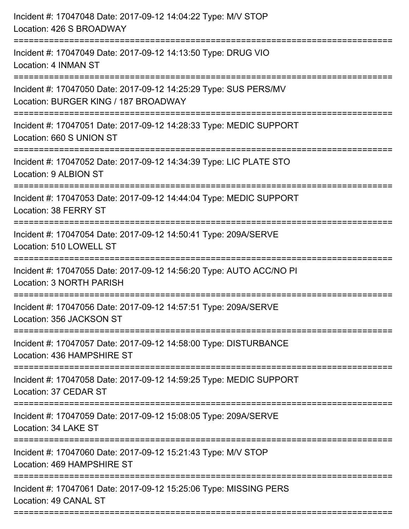| Incident #: 17047048 Date: 2017-09-12 14:04:22 Type: M/V STOP<br>Location: 426 S BROADWAY                                                     |
|-----------------------------------------------------------------------------------------------------------------------------------------------|
| Incident #: 17047049 Date: 2017-09-12 14:13:50 Type: DRUG VIO<br>Location: 4 INMAN ST                                                         |
| Incident #: 17047050 Date: 2017-09-12 14:25:29 Type: SUS PERS/MV<br>Location: BURGER KING / 187 BROADWAY<br>================================= |
| Incident #: 17047051 Date: 2017-09-12 14:28:33 Type: MEDIC SUPPORT<br>Location: 660 S UNION ST                                                |
| Incident #: 17047052 Date: 2017-09-12 14:34:39 Type: LIC PLATE STO<br>Location: 9 ALBION ST                                                   |
| Incident #: 17047053 Date: 2017-09-12 14:44:04 Type: MEDIC SUPPORT<br>Location: 38 FERRY ST                                                   |
| Incident #: 17047054 Date: 2017-09-12 14:50:41 Type: 209A/SERVE<br>Location: 510 LOWELL ST                                                    |
| Incident #: 17047055 Date: 2017-09-12 14:56:20 Type: AUTO ACC/NO PI<br>Location: 3 NORTH PARISH                                               |
| Incident #: 17047056 Date: 2017-09-12 14:57:51 Type: 209A/SERVE<br>Location: 356 JACKSON ST                                                   |
| Incident #: 17047057 Date: 2017-09-12 14:58:00 Type: DISTURBANCE<br>Location: 436 HAMPSHIRE ST                                                |
| Incident #: 17047058 Date: 2017-09-12 14:59:25 Type: MEDIC SUPPORT<br>Location: 37 CEDAR ST                                                   |
| Incident #: 17047059 Date: 2017-09-12 15:08:05 Type: 209A/SERVE<br>Location: 34 LAKE ST                                                       |
| Incident #: 17047060 Date: 2017-09-12 15:21:43 Type: M/V STOP<br>Location: 469 HAMPSHIRE ST                                                   |
| Incident #: 17047061 Date: 2017-09-12 15:25:06 Type: MISSING PERS<br>Location: 49 CANAL ST                                                    |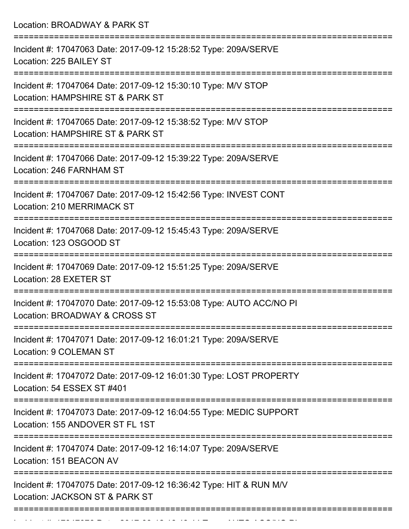Location: BROADWAY & PARK ST =========================================================================== Incident #: 17047063 Date: 2017-09-12 15:28:52 Type: 209A/SERVE Location: 225 BAILEY ST =========================================================================== Incident #: 17047064 Date: 2017-09-12 15:30:10 Type: M/V STOP Location: HAMPSHIRE ST & PARK ST =========================================================================== Incident #: 17047065 Date: 2017-09-12 15:38:52 Type: M/V STOP Location: HAMPSHIRE ST & PARK ST =========================================================================== Incident #: 17047066 Date: 2017-09-12 15:39:22 Type: 209A/SERVE Location: 246 FARNHAM ST =========================================================================== Incident #: 17047067 Date: 2017-09-12 15:42:56 Type: INVEST CONT Location: 210 MERRIMACK ST =========================================================================== Incident #: 17047068 Date: 2017-09-12 15:45:43 Type: 209A/SERVE Location: 123 OSGOOD ST =========================================================================== Incident #: 17047069 Date: 2017-09-12 15:51:25 Type: 209A/SERVE Location: 28 EXETER ST =========================================================================== Incident #: 17047070 Date: 2017-09-12 15:53:08 Type: AUTO ACC/NO PI Location: BROADWAY & CROSS ST =========================================================================== Incident #: 17047071 Date: 2017-09-12 16:01:21 Type: 209A/SERVE Location: 9 COLEMAN ST =========================================================================== Incident #: 17047072 Date: 2017-09-12 16:01:30 Type: LOST PROPERTY Location: 54 ESSEX ST #401 =========================================================================== Incident #: 17047073 Date: 2017-09-12 16:04:55 Type: MEDIC SUPPORT Location: 155 ANDOVER ST FL 1ST =========================================================================== Incident #: 17047074 Date: 2017-09-12 16:14:07 Type: 209A/SERVE Location: 151 BEACON AV =========================================================================== Incident #: 17047075 Date: 2017-09-12 16:36:42 Type: HIT & RUN M/V Location: JACKSON ST & PARK ST ===========================================================================

Incident #: 17047076 Date: 2017 09 12 16:48:47 Type: AUTO ACC/NO PI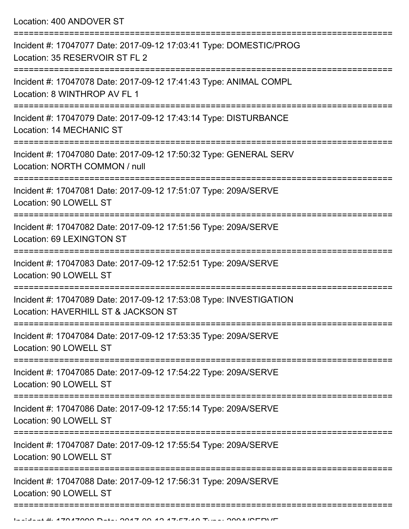Location: 400 ANDOVER ST

| Incident #: 17047077 Date: 2017-09-12 17:03:41 Type: DOMESTIC/PROG<br>Location: 35 RESERVOIR ST FL 2      |
|-----------------------------------------------------------------------------------------------------------|
| Incident #: 17047078 Date: 2017-09-12 17:41:43 Type: ANIMAL COMPL<br>Location: 8 WINTHROP AV FL 1         |
| Incident #: 17047079 Date: 2017-09-12 17:43:14 Type: DISTURBANCE<br><b>Location: 14 MECHANIC ST</b>       |
| Incident #: 17047080 Date: 2017-09-12 17:50:32 Type: GENERAL SERV<br>Location: NORTH COMMON / null        |
| Incident #: 17047081 Date: 2017-09-12 17:51:07 Type: 209A/SERVE<br>Location: 90 LOWELL ST                 |
| Incident #: 17047082 Date: 2017-09-12 17:51:56 Type: 209A/SERVE<br>Location: 69 LEXINGTON ST              |
| Incident #: 17047083 Date: 2017-09-12 17:52:51 Type: 209A/SERVE<br>Location: 90 LOWELL ST                 |
| Incident #: 17047089 Date: 2017-09-12 17:53:08 Type: INVESTIGATION<br>Location: HAVERHILL ST & JACKSON ST |
| Incident #: 17047084 Date: 2017-09-12 17:53:35 Type: 209A/SERVE<br>Location: 90 LOWELL ST                 |
| Incident #: 17047085 Date: 2017-09-12 17:54:22 Type: 209A/SERVE<br>Location: 90 LOWELL ST                 |
| Incident #: 17047086 Date: 2017-09-12 17:55:14 Type: 209A/SERVE<br>Location: 90 LOWELL ST                 |
| Incident #: 17047087 Date: 2017-09-12 17:55:54 Type: 209A/SERVE<br>Location: 90 LOWELL ST                 |
| Incident #: 17047088 Date: 2017-09-12 17:56:31 Type: 209A/SERVE<br>Location: 90 LOWELL ST                 |
|                                                                                                           |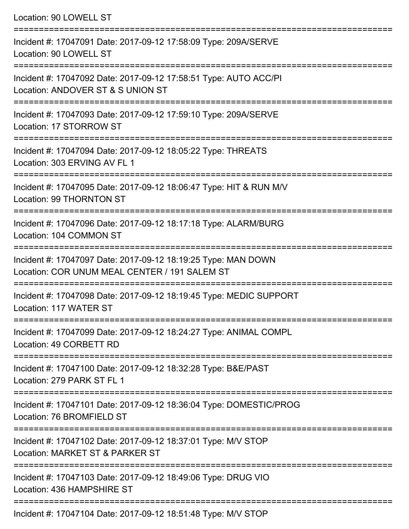Location: 90 LOWELL ST

=========================================================================== Incident #: 17047091 Date: 2017-09-12 17:58:09 Type: 209A/SERVE Location: 90 LOWELL ST =========================================================================== Incident #: 17047092 Date: 2017-09-12 17:58:51 Type: AUTO ACC/PI Location: ANDOVER ST & S UNION ST =========================================================================== Incident #: 17047093 Date: 2017-09-12 17:59:10 Type: 209A/SERVE Location: 17 STORROW ST =========================================================================== Incident #: 17047094 Date: 2017-09-12 18:05:22 Type: THREATS Location: 303 ERVING AV FL 1 =========================================================================== Incident #: 17047095 Date: 2017-09-12 18:06:47 Type: HIT & RUN M/V Location: 99 THORNTON ST =========================================================================== Incident #: 17047096 Date: 2017-09-12 18:17:18 Type: ALARM/BURG Location: 104 COMMON ST =========================================================================== Incident #: 17047097 Date: 2017-09-12 18:19:25 Type: MAN DOWN Location: COR UNUM MEAL CENTER / 191 SALEM ST =========================================================================== Incident #: 17047098 Date: 2017-09-12 18:19:45 Type: MEDIC SUPPORT Location: 117 WATER ST =========================================================================== Incident #: 17047099 Date: 2017-09-12 18:24:27 Type: ANIMAL COMPL Location: 49 CORBETT RD =========================================================================== Incident #: 17047100 Date: 2017-09-12 18:32:28 Type: B&E/PAST Location: 279 PARK ST FL 1 =========================================================================== Incident #: 17047101 Date: 2017-09-12 18:36:04 Type: DOMESTIC/PROG Location: 76 BROMEIELD ST =========================================================================== Incident #: 17047102 Date: 2017-09-12 18:37:01 Type: M/V STOP Location: MARKET ST & PARKER ST =========================================================================== Incident #: 17047103 Date: 2017-09-12 18:49:06 Type: DRUG VIO Location: 436 HAMPSHIRE ST =========================================================================== Incident #: 17047104 Date: 2017-09-12 18:51:48 Type: M/V STOP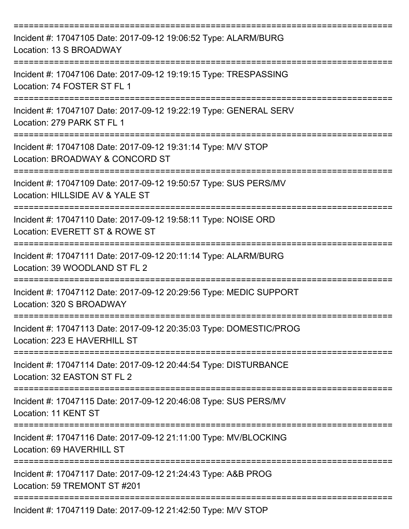| Incident #: 17047105 Date: 2017-09-12 19:06:52 Type: ALARM/BURG<br>Location: 13 S BROADWAY                        |
|-------------------------------------------------------------------------------------------------------------------|
| Incident #: 17047106 Date: 2017-09-12 19:19:15 Type: TRESPASSING<br>Location: 74 FOSTER ST FL 1                   |
| Incident #: 17047107 Date: 2017-09-12 19:22:19 Type: GENERAL SERV<br>Location: 279 PARK ST FL 1                   |
| Incident #: 17047108 Date: 2017-09-12 19:31:14 Type: M/V STOP<br>Location: BROADWAY & CONCORD ST                  |
| Incident #: 17047109 Date: 2017-09-12 19:50:57 Type: SUS PERS/MV<br>Location: HILLSIDE AV & YALE ST               |
| Incident #: 17047110 Date: 2017-09-12 19:58:11 Type: NOISE ORD<br>Location: EVERETT ST & ROWE ST                  |
| Incident #: 17047111 Date: 2017-09-12 20:11:14 Type: ALARM/BURG<br>Location: 39 WOODLAND ST FL 2                  |
| Incident #: 17047112 Date: 2017-09-12 20:29:56 Type: MEDIC SUPPORT<br>Location: 320 S BROADWAY                    |
| Incident #: 17047113 Date: 2017-09-12 20:35:03 Type: DOMESTIC/PROG<br>Location: 223 E HAVERHILL ST                |
| Incident #: 17047114 Date: 2017-09-12 20:44:54 Type: DISTURBANCE<br>Location: 32 EASTON ST FL 2                   |
| Incident #: 17047115 Date: 2017-09-12 20:46:08 Type: SUS PERS/MV<br>Location: 11 KENT ST<br>===================== |
| Incident #: 17047116 Date: 2017-09-12 21:11:00 Type: MV/BLOCKING<br>Location: 69 HAVERHILL ST                     |
| Incident #: 17047117 Date: 2017-09-12 21:24:43 Type: A&B PROG<br>Location: 59 TREMONT ST #201                     |
| Incident #: 17047119 Date: 2017-09-12 21:42:50 Type: M/V STOP                                                     |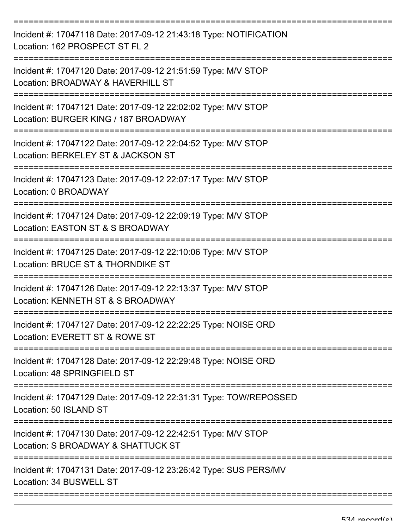| Incident #: 17047118 Date: 2017-09-12 21:43:18 Type: NOTIFICATION<br>Location: 162 PROSPECT ST FL 2                                      |
|------------------------------------------------------------------------------------------------------------------------------------------|
| Incident #: 17047120 Date: 2017-09-12 21:51:59 Type: M/V STOP<br>Location: BROADWAY & HAVERHILL ST                                       |
| Incident #: 17047121 Date: 2017-09-12 22:02:02 Type: M/V STOP<br>Location: BURGER KING / 187 BROADWAY                                    |
| Incident #: 17047122 Date: 2017-09-12 22:04:52 Type: M/V STOP<br>Location: BERKELEY ST & JACKSON ST                                      |
| Incident #: 17047123 Date: 2017-09-12 22:07:17 Type: M/V STOP<br>Location: 0 BROADWAY                                                    |
| ===================================<br>Incident #: 17047124 Date: 2017-09-12 22:09:19 Type: M/V STOP<br>Location: EASTON ST & S BROADWAY |
| Incident #: 17047125 Date: 2017-09-12 22:10:06 Type: M/V STOP<br>Location: BRUCE ST & THORNDIKE ST                                       |
| Incident #: 17047126 Date: 2017-09-12 22:13:37 Type: M/V STOP<br>Location: KENNETH ST & S BROADWAY                                       |
| Incident #: 17047127 Date: 2017-09-12 22:22:25 Type: NOISE ORD<br>Location: EVERETT ST & ROWE ST                                         |
| Incident #: 17047128 Date: 2017-09-12 22:29:48 Type: NOISE ORD<br>Location: 48 SPRINGFIELD ST                                            |
| Incident #: 17047129 Date: 2017-09-12 22:31:31 Type: TOW/REPOSSED<br>Location: 50 ISLAND ST                                              |
| Incident #: 17047130 Date: 2017-09-12 22:42:51 Type: M/V STOP<br>Location: S BROADWAY & SHATTUCK ST                                      |
| Incident #: 17047131 Date: 2017-09-12 23:26:42 Type: SUS PERS/MV<br>Location: 34 BUSWELL ST                                              |

===========================================================================